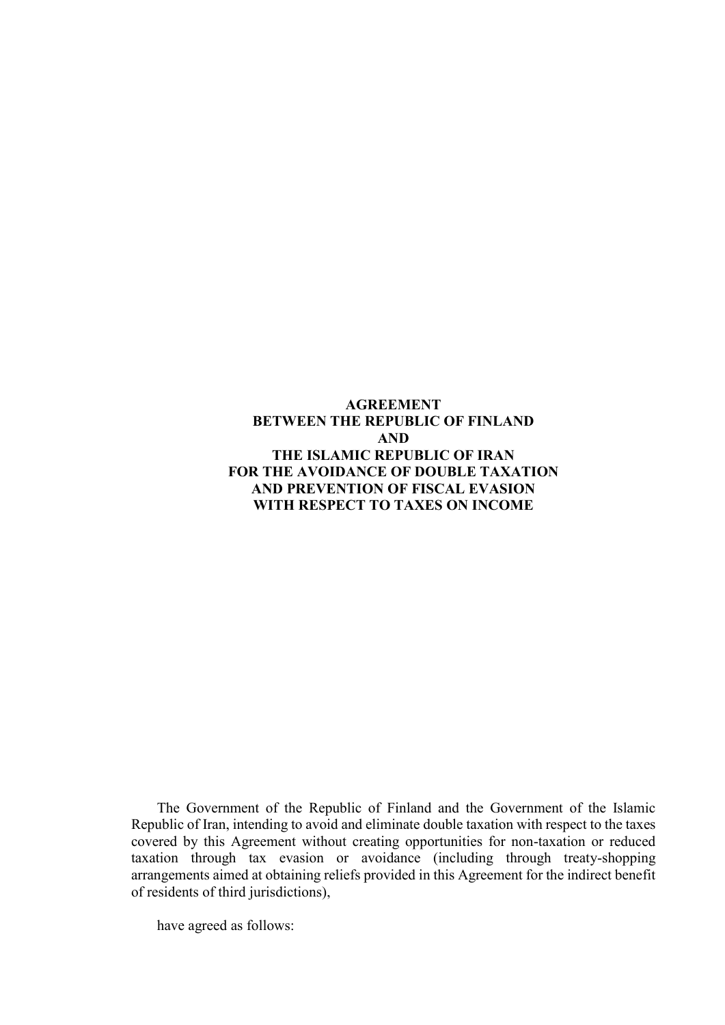# **AGREEMENT BETWEEN THE REPUBLIC OF FINLAND AND THE ISLAMIC REPUBLIC OF IRAN FOR THE AVOIDANCE OF DOUBLE TAXATION AND PREVENTION OF FISCAL EVASION WITH RESPECT TO TAXES ON INCOME**

The Government of the Republic of Finland and the Government of the Islamic Republic of Iran, intending to avoid and eliminate double taxation with respect to the taxes covered by this Agreement without creating opportunities for non-taxation or reduced taxation through tax evasion or avoidance (including through treaty-shopping arrangements aimed at obtaining reliefs provided in this Agreement for the indirect benefit of residents of third jurisdictions),

have agreed as follows: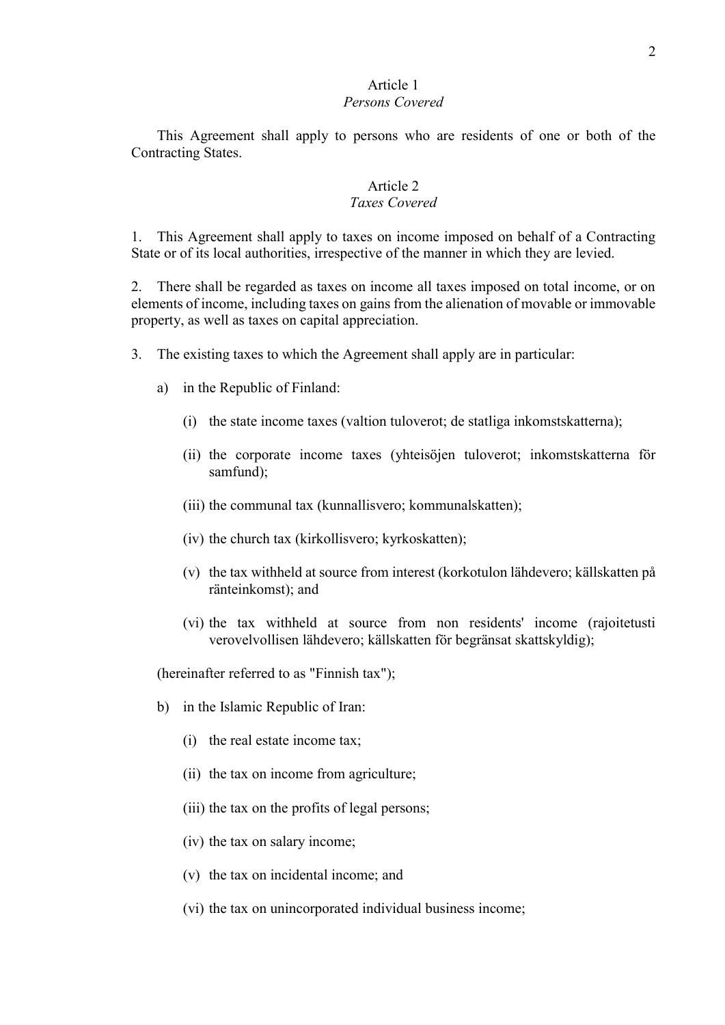### Article 1 *Persons Covered*

This Agreement shall apply to persons who are residents of one or both of the Contracting States.

### Article 2 *Taxes Covered*

1. This Agreement shall apply to taxes on income imposed on behalf of a Contracting State or of its local authorities, irrespective of the manner in which they are levied.

2. There shall be regarded as taxes on income all taxes imposed on total income, or on elements of income, including taxes on gains from the alienation of movable or immovable property, as well as taxes on capital appreciation.

- 3. The existing taxes to which the Agreement shall apply are in particular:
	- a) in the Republic of Finland:
		- (i) the state income taxes (valtion tuloverot; de statliga inkomstskatterna);
		- (ii) the corporate income taxes (yhteisöjen tuloverot; inkomstskatterna för samfund);
		- (iii) the communal tax (kunnallisvero; kommunalskatten);
		- (iv) the church tax (kirkollisvero; kyrkoskatten);
		- (v) the tax withheld at source from interest (korkotulon lähdevero; källskatten på ränteinkomst); and
		- (vi) the tax withheld at source from non residents' income (rajoitetusti verovelvollisen lähdevero; källskatten för begränsat skattskyldig);

(hereinafter referred to as "Finnish tax");

- b) in the Islamic Republic of Iran:
	- (i) the real estate income tax;
	- (ii) the tax on income from agriculture;
	- (iii) the tax on the profits of legal persons;
	- (iv) the tax on salary income;
	- (v) the tax on incidental income; and
	- (vi) the tax on unincorporated individual business income;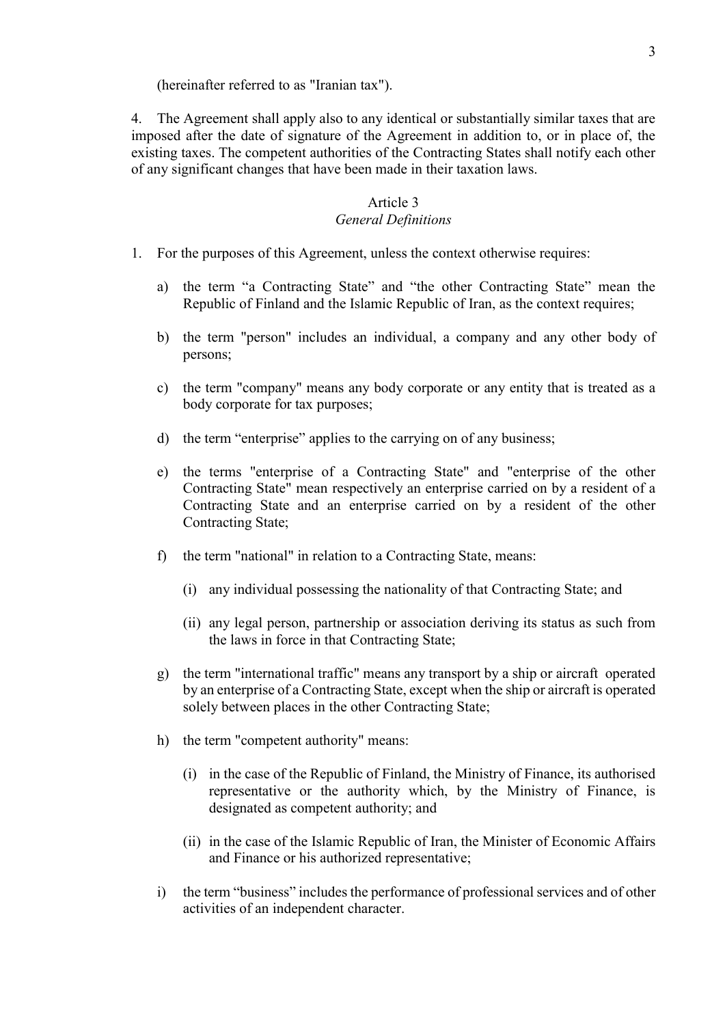(hereinafter referred to as "Iranian tax").

4. The Agreement shall apply also to any identical or substantially similar taxes that are imposed after the date of signature of the Agreement in addition to, or in place of, the existing taxes. The competent authorities of the Contracting States shall notify each other of any significant changes that have been made in their taxation laws.

## Article 3 *General Definitions*

- 1. For the purposes of this Agreement, unless the context otherwise requires:
	- a) the term "a Contracting State" and "the other Contracting State" mean the Republic of Finland and the Islamic Republic of Iran, as the context requires;
	- b) the term "person" includes an individual, a company and any other body of persons;
	- c) the term "company" means any body corporate or any entity that is treated as a body corporate for tax purposes;
	- d) the term "enterprise" applies to the carrying on of any business;
	- e) the terms "enterprise of a Contracting State" and "enterprise of the other Contracting State" mean respectively an enterprise carried on by a resident of a Contracting State and an enterprise carried on by a resident of the other Contracting State;
	- f) the term "national" in relation to a Contracting State, means:
		- (i) any individual possessing the nationality of that Contracting State; and
		- (ii) any legal person, partnership or association deriving its status as such from the laws in force in that Contracting State;
	- g) the term "international traffic" means any transport by a ship or aircraft operated by an enterprise of a Contracting State, except when the ship or aircraft is operated solely between places in the other Contracting State;
	- h) the term "competent authority" means:
		- (i) in the case of the Republic of Finland, the Ministry of Finance, its authorised representative or the authority which, by the Ministry of Finance, is designated as competent authority; and
		- (ii) in the case of the Islamic Republic of Iran, the Minister of Economic Affairs and Finance or his authorized representative;
	- i) the term "business" includes the performance of professional services and of other activities of an independent character.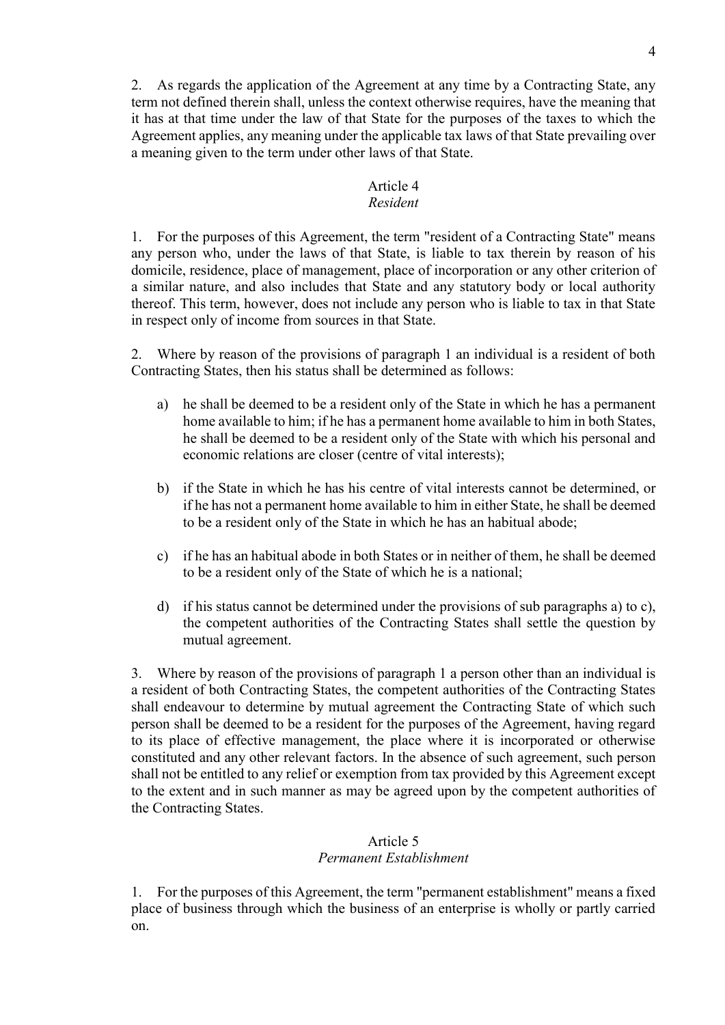2. As regards the application of the Agreement at any time by a Contracting State, any term not defined therein shall, unless the context otherwise requires, have the meaning that it has at that time under the law of that State for the purposes of the taxes to which the Agreement applies, any meaning under the applicable tax laws of that State prevailing over a meaning given to the term under other laws of that State.

## Article 4 *Resident*

1. For the purposes of this Agreement, the term "resident of a Contracting State" means any person who, under the laws of that State, is liable to tax therein by reason of his domicile, residence, place of management, place of incorporation or any other criterion of a similar nature, and also includes that State and any statutory body or local authority thereof. This term, however, does not include any person who is liable to tax in that State in respect only of income from sources in that State.

2. Where by reason of the provisions of paragraph 1 an individual is a resident of both Contracting States, then his status shall be determined as follows:

- a) he shall be deemed to be a resident only of the State in which he has a permanent home available to him; if he has a permanent home available to him in both States, he shall be deemed to be a resident only of the State with which his personal and economic relations are closer (centre of vital interests);
- b) if the State in which he has his centre of vital interests cannot be determined, or if he has not a permanent home available to him in either State, he shall be deemed to be a resident only of the State in which he has an habitual abode;
- c) if he has an habitual abode in both States or in neither of them, he shall be deemed to be a resident only of the State of which he is a national;
- d) if his status cannot be determined under the provisions of sub paragraphs a) to c), the competent authorities of the Contracting States shall settle the question by mutual agreement.

3. Where by reason of the provisions of paragraph 1 a person other than an individual is a resident of both Contracting States, the competent authorities of the Contracting States shall endeavour to determine by mutual agreement the Contracting State of which such person shall be deemed to be a resident for the purposes of the Agreement, having regard to its place of effective management, the place where it is incorporated or otherwise constituted and any other relevant factors. In the absence of such agreement, such person shall not be entitled to any relief or exemption from tax provided by this Agreement except to the extent and in such manner as may be agreed upon by the competent authorities of the Contracting States.

# Article 5 *Permanent Establishment*

1. For the purposes of this Agreement, the term "permanent establishment" means a fixed place of business through which the business of an enterprise is wholly or partly carried on.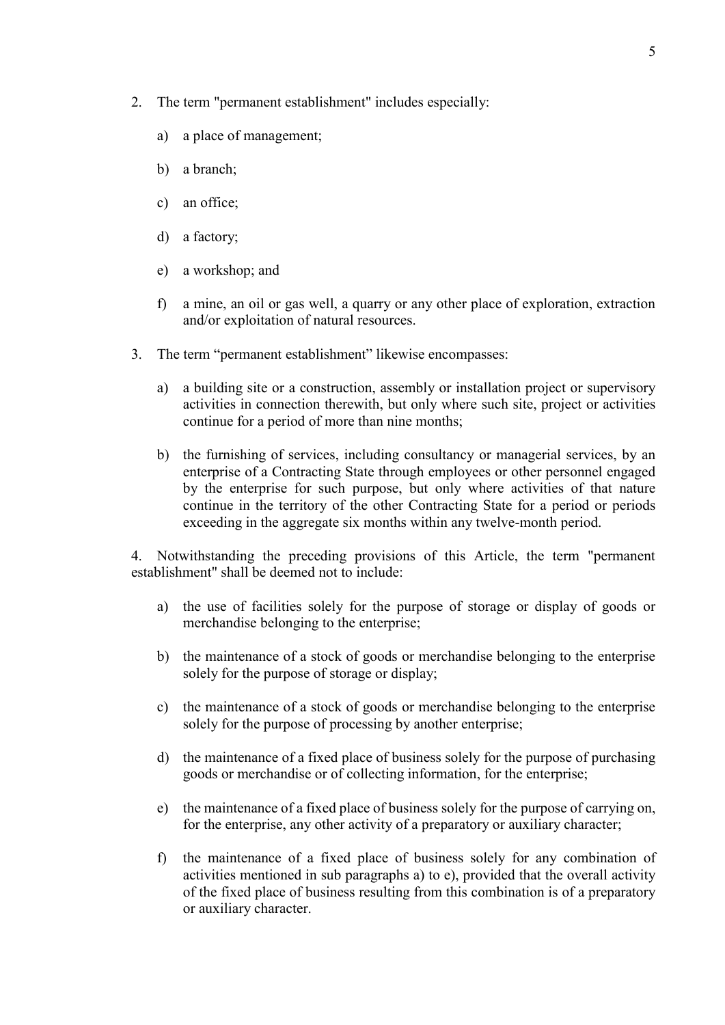- 2. The term "permanent establishment" includes especially:
	- a) a place of management;
	- b) a branch;
	- c) an office;
	- d) a factory;
	- e) a workshop; and
	- f) a mine, an oil or gas well, a quarry or any other place of exploration, extraction and/or exploitation of natural resources.
- 3. The term "permanent establishment" likewise encompasses:
	- a) a building site or a construction, assembly or installation project or supervisory activities in connection therewith, but only where such site, project or activities continue for a period of more than nine months;
	- b) the furnishing of services, including consultancy or managerial services, by an enterprise of a Contracting State through employees or other personnel engaged by the enterprise for such purpose, but only where activities of that nature continue in the territory of the other Contracting State for a period or periods exceeding in the aggregate six months within any twelve-month period.

4. Notwithstanding the preceding provisions of this Article, the term "permanent establishment" shall be deemed not to include:

- a) the use of facilities solely for the purpose of storage or display of goods or merchandise belonging to the enterprise;
- b) the maintenance of a stock of goods or merchandise belonging to the enterprise solely for the purpose of storage or display;
- c) the maintenance of a stock of goods or merchandise belonging to the enterprise solely for the purpose of processing by another enterprise;
- d) the maintenance of a fixed place of business solely for the purpose of purchasing goods or merchandise or of collecting information, for the enterprise;
- e) the maintenance of a fixed place of business solely for the purpose of carrying on, for the enterprise, any other activity of a preparatory or auxiliary character;
- f) the maintenance of a fixed place of business solely for any combination of activities mentioned in sub paragraphs a) to e), provided that the overall activity of the fixed place of business resulting from this combination is of a preparatory or auxiliary character.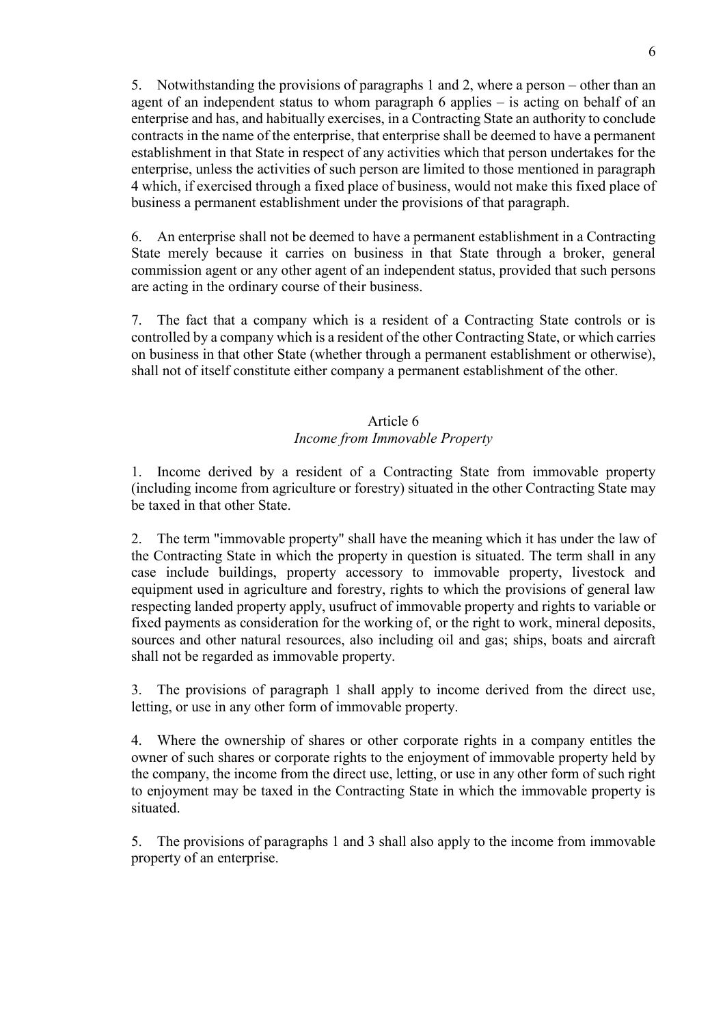5. Notwithstanding the provisions of paragraphs 1 and 2, where a person – other than an agent of an independent status to whom paragraph 6 applies – is acting on behalf of an enterprise and has, and habitually exercises, in a Contracting State an authority to conclude contracts in the name of the enterprise, that enterprise shall be deemed to have a permanent establishment in that State in respect of any activities which that person undertakes for the enterprise, unless the activities of such person are limited to those mentioned in paragraph 4 which, if exercised through a fixed place of business, would not make this fixed place of business a permanent establishment under the provisions of that paragraph.

6. An enterprise shall not be deemed to have a permanent establishment in a Contracting State merely because it carries on business in that State through a broker, general commission agent or any other agent of an independent status, provided that such persons are acting in the ordinary course of their business.

7. The fact that a company which is a resident of a Contracting State controls or is controlled by a company which is a resident of the other Contracting State, or which carries on business in that other State (whether through a permanent establishment or otherwise), shall not of itself constitute either company a permanent establishment of the other.

# Article 6 *Income from Immovable Property*

1. Income derived by a resident of a Contracting State from immovable property (including income from agriculture or forestry) situated in the other Contracting State may be taxed in that other State.

2. The term "immovable property" shall have the meaning which it has under the law of the Contracting State in which the property in question is situated. The term shall in any case include buildings, property accessory to immovable property, livestock and equipment used in agriculture and forestry, rights to which the provisions of general law respecting landed property apply, usufruct of immovable property and rights to variable or fixed payments as consideration for the working of, or the right to work, mineral deposits, sources and other natural resources, also including oil and gas; ships, boats and aircraft shall not be regarded as immovable property.

3. The provisions of paragraph 1 shall apply to income derived from the direct use, letting, or use in any other form of immovable property.

4. Where the ownership of shares or other corporate rights in a company entitles the owner of such shares or corporate rights to the enjoyment of immovable property held by the company, the income from the direct use, letting, or use in any other form of such right to enjoyment may be taxed in the Contracting State in which the immovable property is situated.

5. The provisions of paragraphs 1 and 3 shall also apply to the income from immovable property of an enterprise.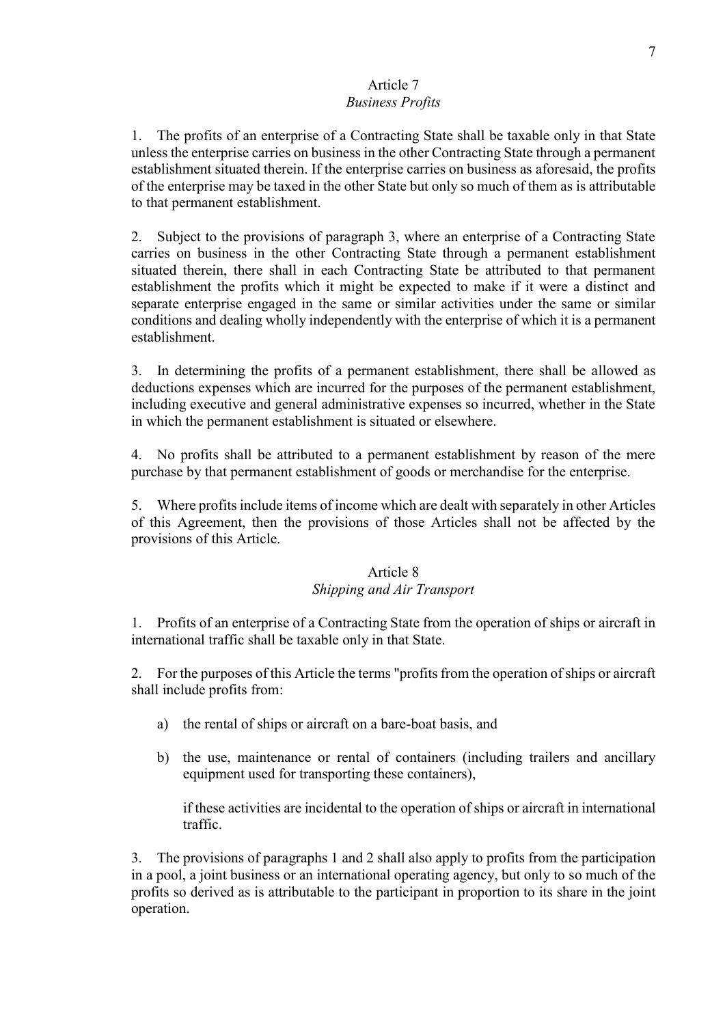# Article 7 *Business Profits*

1. The profits of an enterprise of a Contracting State shall be taxable only in that State unless the enterprise carries on business in the other Contracting State through a permanent establishment situated therein. If the enterprise carries on business as aforesaid, the profits of the enterprise may be taxed in the other State but only so much of them as is attributable to that permanent establishment.

2. Subject to the provisions of paragraph 3, where an enterprise of a Contracting State carries on business in the other Contracting State through a permanent establishment situated therein, there shall in each Contracting State be attributed to that permanent establishment the profits which it might be expected to make if it were a distinct and separate enterprise engaged in the same or similar activities under the same or similar conditions and dealing wholly independently with the enterprise of which it is a permanent establishment.

3. In determining the profits of a permanent establishment, there shall be allowed as deductions expenses which are incurred for the purposes of the permanent establishment, including executive and general administrative expenses so incurred, whether in the State in which the permanent establishment is situated or elsewhere.

4. No profits shall be attributed to a permanent establishment by reason of the mere purchase by that permanent establishment of goods or merchandise for the enterprise.

5. Where profits include items of income which are dealt with separately in other Articles of this Agreement, then the provisions of those Articles shall not be affected by the provisions of this Article.

# Article 8 *Shipping and Air Transport*

1. Profits of an enterprise of a Contracting State from the operation of ships or aircraft in international traffic shall be taxable only in that State.

2. For the purposes of this Article the terms "profits from the operation of ships or aircraft shall include profits from:

- a) the rental of ships or aircraft on a bare-boat basis, and
- b) the use, maintenance or rental of containers (including trailers and ancillary equipment used for transporting these containers),

if these activities are incidental to the operation of ships or aircraft in international traffic.

3. The provisions of paragraphs 1 and 2 shall also apply to profits from the participation in a pool, a joint business or an international operating agency, but only to so much of the profits so derived as is attributable to the participant in proportion to its share in the joint operation.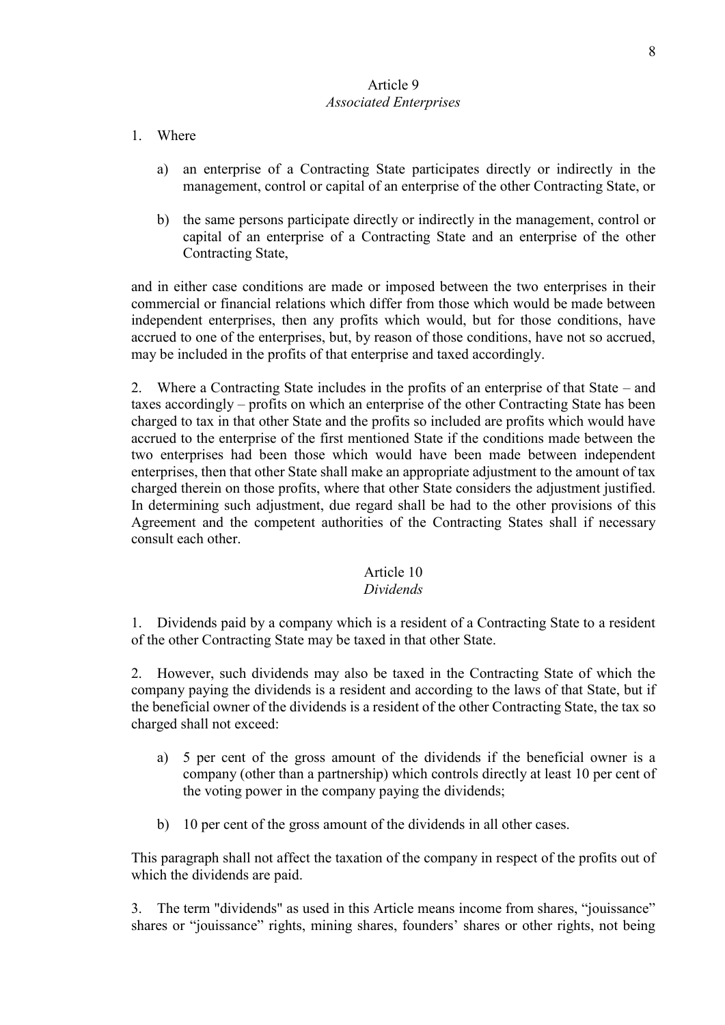### Article 9 *Associated Enterprises*

### 1. Where

- a) an enterprise of a Contracting State participates directly or indirectly in the management, control or capital of an enterprise of the other Contracting State, or
- b) the same persons participate directly or indirectly in the management, control or capital of an enterprise of a Contracting State and an enterprise of the other Contracting State,

and in either case conditions are made or imposed between the two enterprises in their commercial or financial relations which differ from those which would be made between independent enterprises, then any profits which would, but for those conditions, have accrued to one of the enterprises, but, by reason of those conditions, have not so accrued, may be included in the profits of that enterprise and taxed accordingly.

2. Where a Contracting State includes in the profits of an enterprise of that State – and taxes accordingly – profits on which an enterprise of the other Contracting State has been charged to tax in that other State and the profits so included are profits which would have accrued to the enterprise of the first mentioned State if the conditions made between the two enterprises had been those which would have been made between independent enterprises, then that other State shall make an appropriate adjustment to the amount of tax charged therein on those profits, where that other State considers the adjustment justified. In determining such adjustment, due regard shall be had to the other provisions of this Agreement and the competent authorities of the Contracting States shall if necessary consult each other.

### Article 10 *Dividends*

1. Dividends paid by a company which is a resident of a Contracting State to a resident of the other Contracting State may be taxed in that other State.

2. However, such dividends may also be taxed in the Contracting State of which the company paying the dividends is a resident and according to the laws of that State, but if the beneficial owner of the dividends is a resident of the other Contracting State, the tax so charged shall not exceed:

- a) 5 per cent of the gross amount of the dividends if the beneficial owner is a company (other than a partnership) which controls directly at least 10 per cent of the voting power in the company paying the dividends;
- b) 10 per cent of the gross amount of the dividends in all other cases.

This paragraph shall not affect the taxation of the company in respect of the profits out of which the dividends are paid.

3. The term "dividends" as used in this Article means income from shares, "jouissance" shares or "jouissance" rights, mining shares, founders' shares or other rights, not being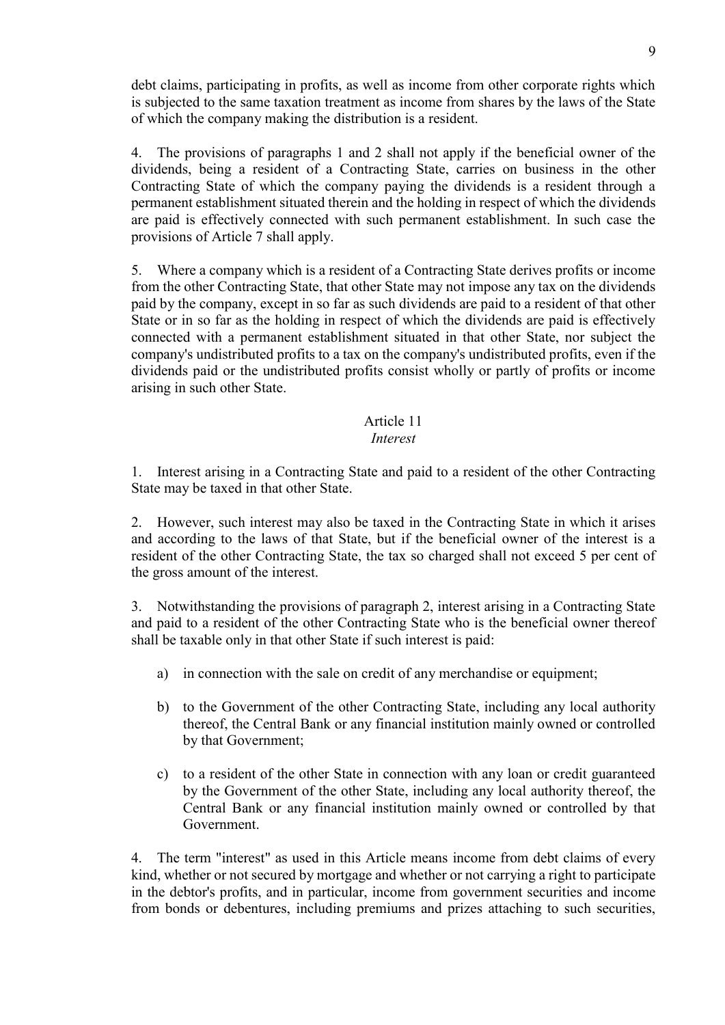debt claims, participating in profits, as well as income from other corporate rights which is subjected to the same taxation treatment as income from shares by the laws of the State of which the company making the distribution is a resident.

4. The provisions of paragraphs 1 and 2 shall not apply if the beneficial owner of the dividends, being a resident of a Contracting State, carries on business in the other Contracting State of which the company paying the dividends is a resident through a permanent establishment situated therein and the holding in respect of which the dividends are paid is effectively connected with such permanent establishment. In such case the provisions of Article 7 shall apply.

5. Where a company which is a resident of a Contracting State derives profits or income from the other Contracting State, that other State may not impose any tax on the dividends paid by the company, except in so far as such dividends are paid to a resident of that other State or in so far as the holding in respect of which the dividends are paid is effectively connected with a permanent establishment situated in that other State, nor subject the company's undistributed profits to a tax on the company's undistributed profits, even if the dividends paid or the undistributed profits consist wholly or partly of profits or income arising in such other State.

# Article 11

# *Interest*

1. Interest arising in a Contracting State and paid to a resident of the other Contracting State may be taxed in that other State.

2. However, such interest may also be taxed in the Contracting State in which it arises and according to the laws of that State, but if the beneficial owner of the interest is a resident of the other Contracting State, the tax so charged shall not exceed 5 per cent of the gross amount of the interest.

3. Notwithstanding the provisions of paragraph 2, interest arising in a Contracting State and paid to a resident of the other Contracting State who is the beneficial owner thereof shall be taxable only in that other State if such interest is paid:

- a) in connection with the sale on credit of any merchandise or equipment;
- b) to the Government of the other Contracting State, including any local authority thereof, the Central Bank or any financial institution mainly owned or controlled by that Government;
- c) to a resident of the other State in connection with any loan or credit guaranteed by the Government of the other State, including any local authority thereof, the Central Bank or any financial institution mainly owned or controlled by that Government.

4. The term "interest" as used in this Article means income from debt claims of every kind, whether or not secured by mortgage and whether or not carrying a right to participate in the debtor's profits, and in particular, income from government securities and income from bonds or debentures, including premiums and prizes attaching to such securities,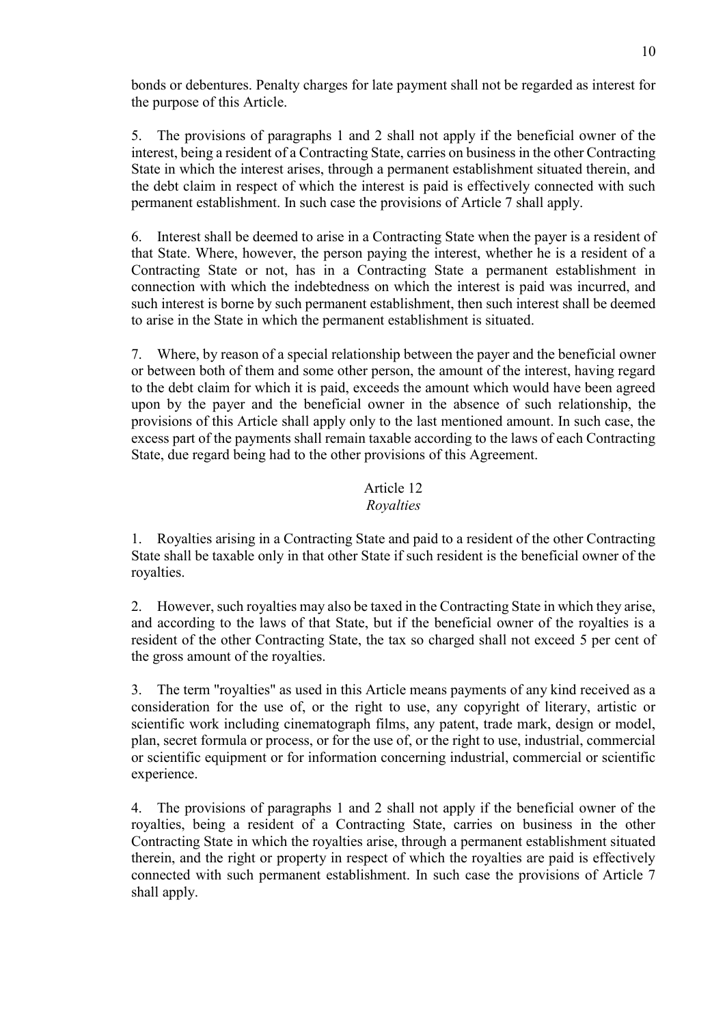bonds or debentures. Penalty charges for late payment shall not be regarded as interest for the purpose of this Article.

5. The provisions of paragraphs 1 and 2 shall not apply if the beneficial owner of the interest, being a resident of a Contracting State, carries on business in the other Contracting State in which the interest arises, through a permanent establishment situated therein, and the debt claim in respect of which the interest is paid is effectively connected with such permanent establishment. In such case the provisions of Article 7 shall apply.

6. Interest shall be deemed to arise in a Contracting State when the payer is a resident of that State. Where, however, the person paying the interest, whether he is a resident of a Contracting State or not, has in a Contracting State a permanent establishment in connection with which the indebtedness on which the interest is paid was incurred, and such interest is borne by such permanent establishment, then such interest shall be deemed to arise in the State in which the permanent establishment is situated.

7. Where, by reason of a special relationship between the payer and the beneficial owner or between both of them and some other person, the amount of the interest, having regard to the debt claim for which it is paid, exceeds the amount which would have been agreed upon by the payer and the beneficial owner in the absence of such relationship, the provisions of this Article shall apply only to the last mentioned amount. In such case, the excess part of the payments shall remain taxable according to the laws of each Contracting State, due regard being had to the other provisions of this Agreement.

# Article 12 *Royalties*

1. Royalties arising in a Contracting State and paid to a resident of the other Contracting State shall be taxable only in that other State if such resident is the beneficial owner of the royalties.

2. However, such royalties may also be taxed in the Contracting State in which they arise, and according to the laws of that State, but if the beneficial owner of the royalties is a resident of the other Contracting State, the tax so charged shall not exceed 5 per cent of the gross amount of the royalties.

3. The term "royalties" as used in this Article means payments of any kind received as a consideration for the use of, or the right to use, any copyright of literary, artistic or scientific work including cinematograph films, any patent, trade mark, design or model, plan, secret formula or process, or for the use of, or the right to use, industrial, commercial or scientific equipment or for information concerning industrial, commercial or scientific experience.

4. The provisions of paragraphs 1 and 2 shall not apply if the beneficial owner of the royalties, being a resident of a Contracting State, carries on business in the other Contracting State in which the royalties arise, through a permanent establishment situated therein, and the right or property in respect of which the royalties are paid is effectively connected with such permanent establishment. In such case the provisions of Article 7 shall apply.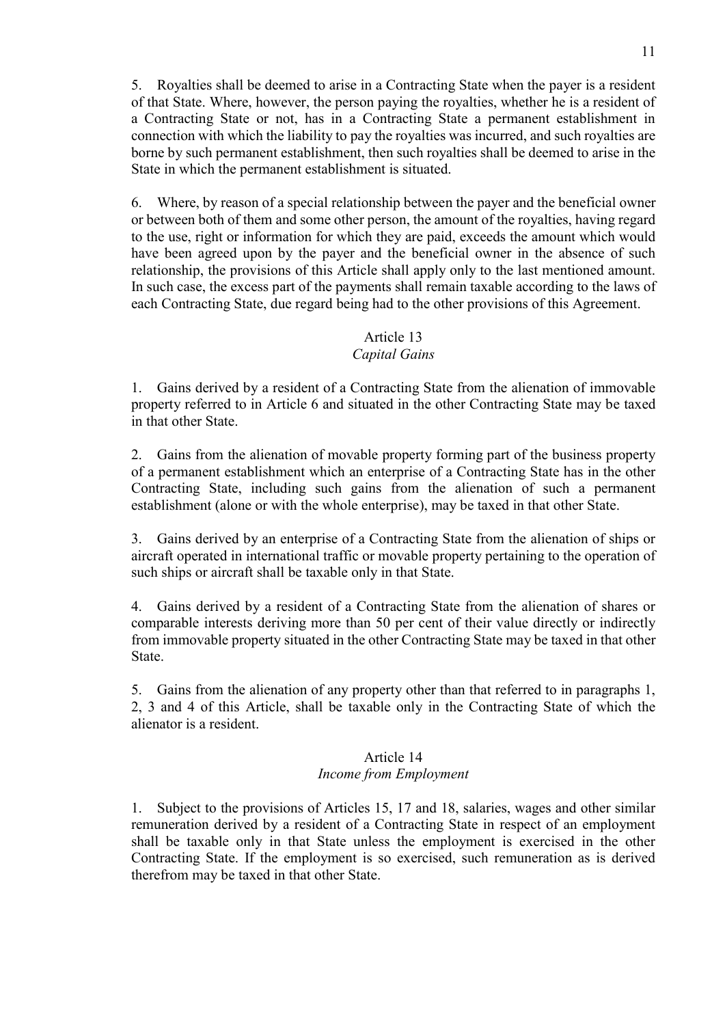5. Royalties shall be deemed to arise in a Contracting State when the payer is a resident of that State. Where, however, the person paying the royalties, whether he is a resident of a Contracting State or not, has in a Contracting State a permanent establishment in connection with which the liability to pay the royalties was incurred, and such royalties are borne by such permanent establishment, then such royalties shall be deemed to arise in the State in which the permanent establishment is situated.

6. Where, by reason of a special relationship between the payer and the beneficial owner or between both of them and some other person, the amount of the royalties, having regard to the use, right or information for which they are paid, exceeds the amount which would have been agreed upon by the payer and the beneficial owner in the absence of such relationship, the provisions of this Article shall apply only to the last mentioned amount. In such case, the excess part of the payments shall remain taxable according to the laws of each Contracting State, due regard being had to the other provisions of this Agreement.

### Article 13 *Capital Gains*

1. Gains derived by a resident of a Contracting State from the alienation of immovable property referred to in Article 6 and situated in the other Contracting State may be taxed in that other State.

2. Gains from the alienation of movable property forming part of the business property of a permanent establishment which an enterprise of a Contracting State has in the other Contracting State, including such gains from the alienation of such a permanent establishment (alone or with the whole enterprise), may be taxed in that other State.

3. Gains derived by an enterprise of a Contracting State from the alienation of ships or aircraft operated in international traffic or movable property pertaining to the operation of such ships or aircraft shall be taxable only in that State.

4. Gains derived by a resident of a Contracting State from the alienation of shares or comparable interests deriving more than 50 per cent of their value directly or indirectly from immovable property situated in the other Contracting State may be taxed in that other State.

5. Gains from the alienation of any property other than that referred to in paragraphs 1, 2, 3 and 4 of this Article, shall be taxable only in the Contracting State of which the alienator is a resident.

# Article 14 *Income from Employment*

1. Subject to the provisions of Articles 15, 17 and 18, salaries, wages and other similar remuneration derived by a resident of a Contracting State in respect of an employment shall be taxable only in that State unless the employment is exercised in the other Contracting State. If the employment is so exercised, such remuneration as is derived therefrom may be taxed in that other State.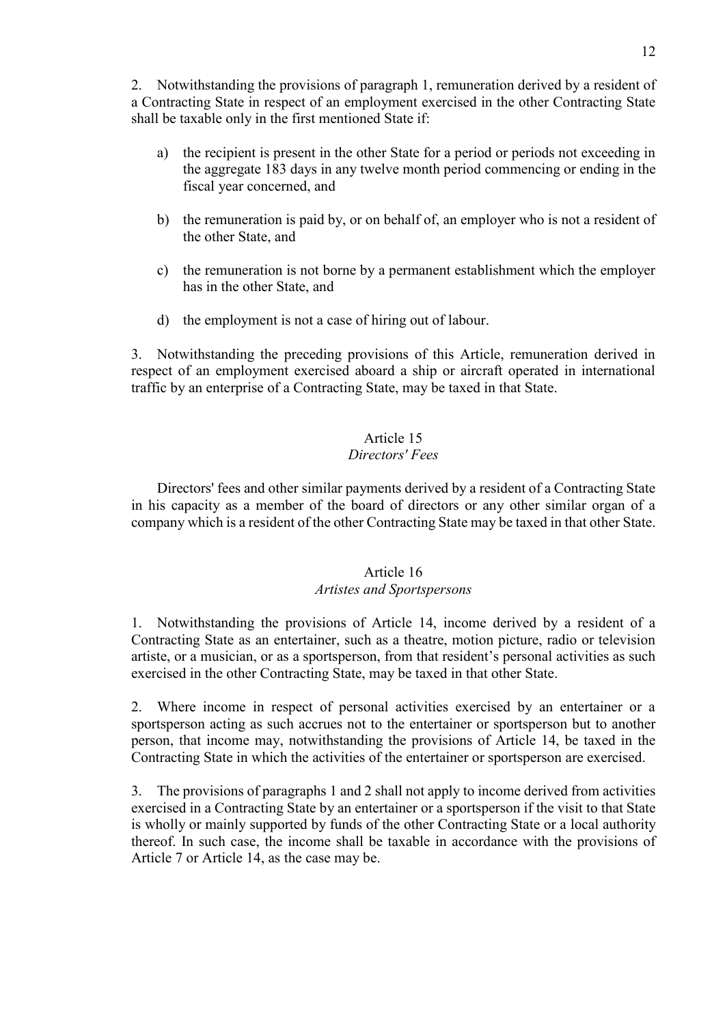2. Notwithstanding the provisions of paragraph 1, remuneration derived by a resident of a Contracting State in respect of an employment exercised in the other Contracting State shall be taxable only in the first mentioned State if:

- a) the recipient is present in the other State for a period or periods not exceeding in the aggregate 183 days in any twelve month period commencing or ending in the fiscal year concerned, and
- b) the remuneration is paid by, or on behalf of, an employer who is not a resident of the other State, and
- c) the remuneration is not borne by a permanent establishment which the employer has in the other State, and
- d) the employment is not a case of hiring out of labour.

3. Notwithstanding the preceding provisions of this Article, remuneration derived in respect of an employment exercised aboard a ship or aircraft operated in international traffic by an enterprise of a Contracting State, may be taxed in that State.

# Article 15

# *Directors' Fees*

Directors' fees and other similar payments derived by a resident of a Contracting State in his capacity as a member of the board of directors or any other similar organ of a company which is a resident of the other Contracting State may be taxed in that other State.

# Article 16 *Artistes and Sportspersons*

1. Notwithstanding the provisions of Article 14, income derived by a resident of a Contracting State as an entertainer, such as a theatre, motion picture, radio or television artiste, or a musician, or as a sportsperson, from that resident's personal activities as such exercised in the other Contracting State, may be taxed in that other State.

2. Where income in respect of personal activities exercised by an entertainer or a sportsperson acting as such accrues not to the entertainer or sportsperson but to another person, that income may, notwithstanding the provisions of Article 14, be taxed in the Contracting State in which the activities of the entertainer or sportsperson are exercised.

3. The provisions of paragraphs 1 and 2 shall not apply to income derived from activities exercised in a Contracting State by an entertainer or a sportsperson if the visit to that State is wholly or mainly supported by funds of the other Contracting State or a local authority thereof. In such case, the income shall be taxable in accordance with the provisions of Article 7 or Article 14, as the case may be.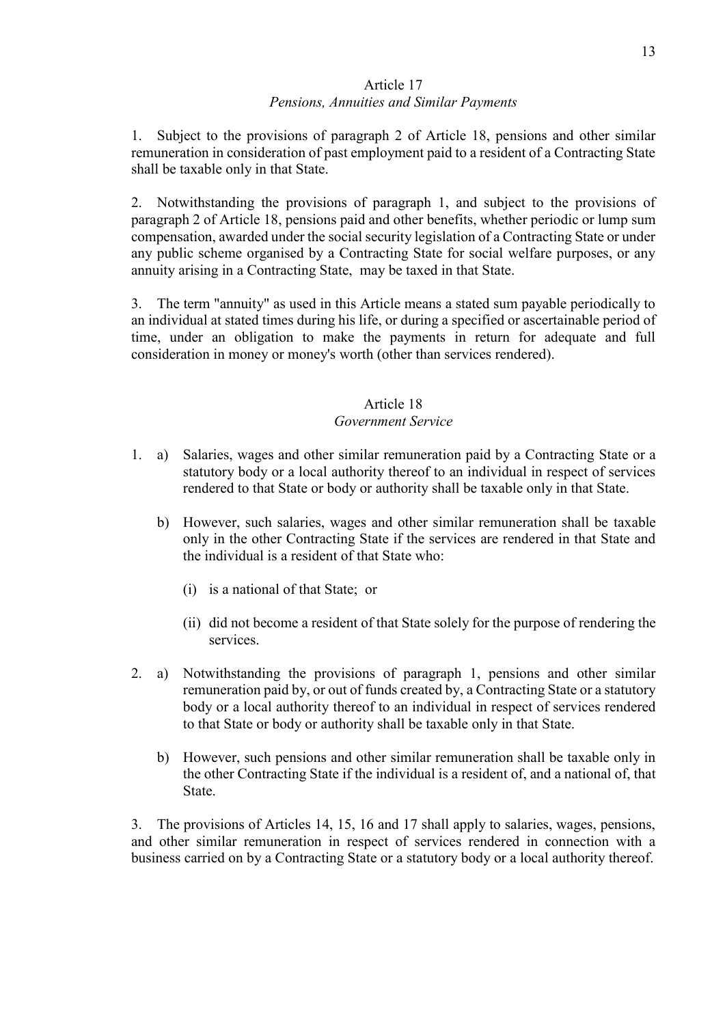# Article 17 *Pensions, Annuities and Similar Payments*

1. Subject to the provisions of paragraph 2 of Article 18, pensions and other similar remuneration in consideration of past employment paid to a resident of a Contracting State shall be taxable only in that State.

2. Notwithstanding the provisions of paragraph 1, and subject to the provisions of paragraph 2 of Article 18, pensions paid and other benefits, whether periodic or lump sum compensation, awarded under the social security legislation of a Contracting State or under any public scheme organised by a Contracting State for social welfare purposes, or any annuity arising in a Contracting State, may be taxed in that State.

3. The term "annuity" as used in this Article means a stated sum payable periodically to an individual at stated times during his life, or during a specified or ascertainable period of time, under an obligation to make the payments in return for adequate and full consideration in money or money's worth (other than services rendered).

### Article 18 *Government Service*

- 1. a) Salaries, wages and other similar remuneration paid by a Contracting State or a statutory body or a local authority thereof to an individual in respect of services rendered to that State or body or authority shall be taxable only in that State.
	- b) However, such salaries, wages and other similar remuneration shall be taxable only in the other Contracting State if the services are rendered in that State and the individual is a resident of that State who:
		- (i) is a national of that State; or
		- (ii) did not become a resident of that State solely for the purpose of rendering the services.
- 2. a) Notwithstanding the provisions of paragraph 1, pensions and other similar remuneration paid by, or out of funds created by, a Contracting State or a statutory body or a local authority thereof to an individual in respect of services rendered to that State or body or authority shall be taxable only in that State.
	- b) However, such pensions and other similar remuneration shall be taxable only in the other Contracting State if the individual is a resident of, and a national of, that State.

3. The provisions of Articles 14, 15, 16 and 17 shall apply to salaries, wages, pensions, and other similar remuneration in respect of services rendered in connection with a business carried on by a Contracting State or a statutory body or a local authority thereof.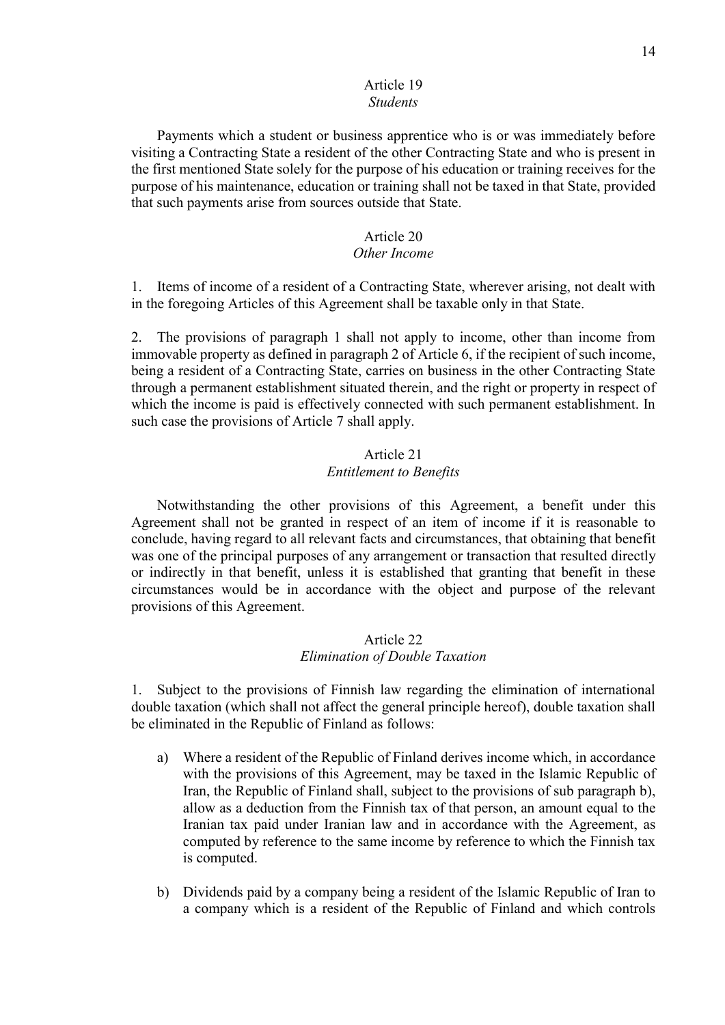### Article 19 *Students*

Payments which a student or business apprentice who is or was immediately before visiting a Contracting State a resident of the other Contracting State and who is present in the first mentioned State solely for the purpose of his education or training receives for the purpose of his maintenance, education or training shall not be taxed in that State, provided that such payments arise from sources outside that State.

### Article 20 *Other Income*

1. Items of income of a resident of a Contracting State, wherever arising, not dealt with in the foregoing Articles of this Agreement shall be taxable only in that State.

2. The provisions of paragraph 1 shall not apply to income, other than income from immovable property as defined in paragraph 2 of Article 6, if the recipient of such income, being a resident of a Contracting State, carries on business in the other Contracting State through a permanent establishment situated therein, and the right or property in respect of which the income is paid is effectively connected with such permanent establishment. In such case the provisions of Article 7 shall apply.

## Article 21 *Entitlement to Benefits*

Notwithstanding the other provisions of this Agreement, a benefit under this Agreement shall not be granted in respect of an item of income if it is reasonable to conclude, having regard to all relevant facts and circumstances, that obtaining that benefit was one of the principal purposes of any arrangement or transaction that resulted directly or indirectly in that benefit, unless it is established that granting that benefit in these circumstances would be in accordance with the object and purpose of the relevant provisions of this Agreement.

# Article 22 *Elimination of Double Taxation*

1. Subject to the provisions of Finnish law regarding the elimination of international double taxation (which shall not affect the general principle hereof), double taxation shall be eliminated in the Republic of Finland as follows:

- a) Where a resident of the Republic of Finland derives income which, in accordance with the provisions of this Agreement, may be taxed in the Islamic Republic of Iran, the Republic of Finland shall, subject to the provisions of sub paragraph b), allow as a deduction from the Finnish tax of that person, an amount equal to the Iranian tax paid under Iranian law and in accordance with the Agreement, as computed by reference to the same income by reference to which the Finnish tax is computed.
- b) Dividends paid by a company being a resident of the Islamic Republic of Iran to a company which is a resident of the Republic of Finland and which controls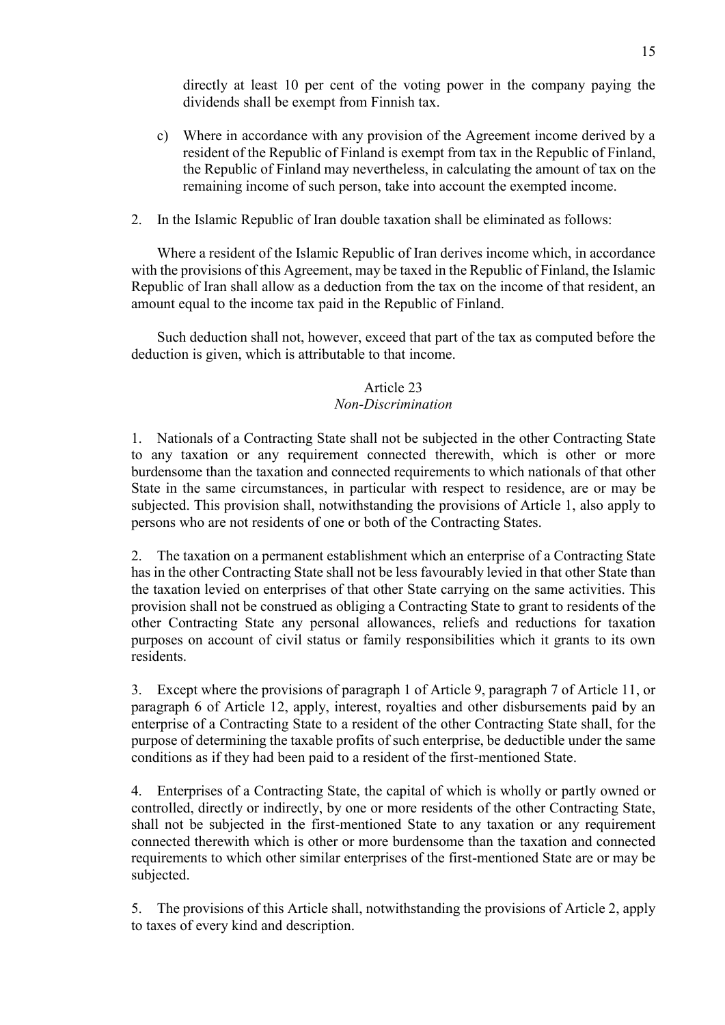directly at least 10 per cent of the voting power in the company paying the dividends shall be exempt from Finnish tax.

- c) Where in accordance with any provision of the Agreement income derived by a resident of the Republic of Finland is exempt from tax in the Republic of Finland, the Republic of Finland may nevertheless, in calculating the amount of tax on the remaining income of such person, take into account the exempted income.
- 2. In the Islamic Republic of Iran double taxation shall be eliminated as follows:

Where a resident of the Islamic Republic of Iran derives income which, in accordance with the provisions of this Agreement, may be taxed in the Republic of Finland, the Islamic Republic of Iran shall allow as a deduction from the tax on the income of that resident, an amount equal to the income tax paid in the Republic of Finland.

Such deduction shall not, however, exceed that part of the tax as computed before the deduction is given, which is attributable to that income.

### Article 23 *Non-Discrimination*

1. Nationals of a Contracting State shall not be subjected in the other Contracting State to any taxation or any requirement connected therewith, which is other or more burdensome than the taxation and connected requirements to which nationals of that other State in the same circumstances, in particular with respect to residence, are or may be subjected. This provision shall, notwithstanding the provisions of Article 1, also apply to persons who are not residents of one or both of the Contracting States.

2. The taxation on a permanent establishment which an enterprise of a Contracting State has in the other Contracting State shall not be less favourably levied in that other State than the taxation levied on enterprises of that other State carrying on the same activities. This provision shall not be construed as obliging a Contracting State to grant to residents of the other Contracting State any personal allowances, reliefs and reductions for taxation purposes on account of civil status or family responsibilities which it grants to its own residents.

3. Except where the provisions of paragraph 1 of Article 9, paragraph 7 of Article 11, or paragraph 6 of Article 12, apply, interest, royalties and other disbursements paid by an enterprise of a Contracting State to a resident of the other Contracting State shall, for the purpose of determining the taxable profits of such enterprise, be deductible under the same conditions as if they had been paid to a resident of the first-mentioned State.

4. Enterprises of a Contracting State, the capital of which is wholly or partly owned or controlled, directly or indirectly, by one or more residents of the other Contracting State, shall not be subjected in the first-mentioned State to any taxation or any requirement connected therewith which is other or more burdensome than the taxation and connected requirements to which other similar enterprises of the first-mentioned State are or may be subjected.

5. The provisions of this Article shall, notwithstanding the provisions of Article 2, apply to taxes of every kind and description.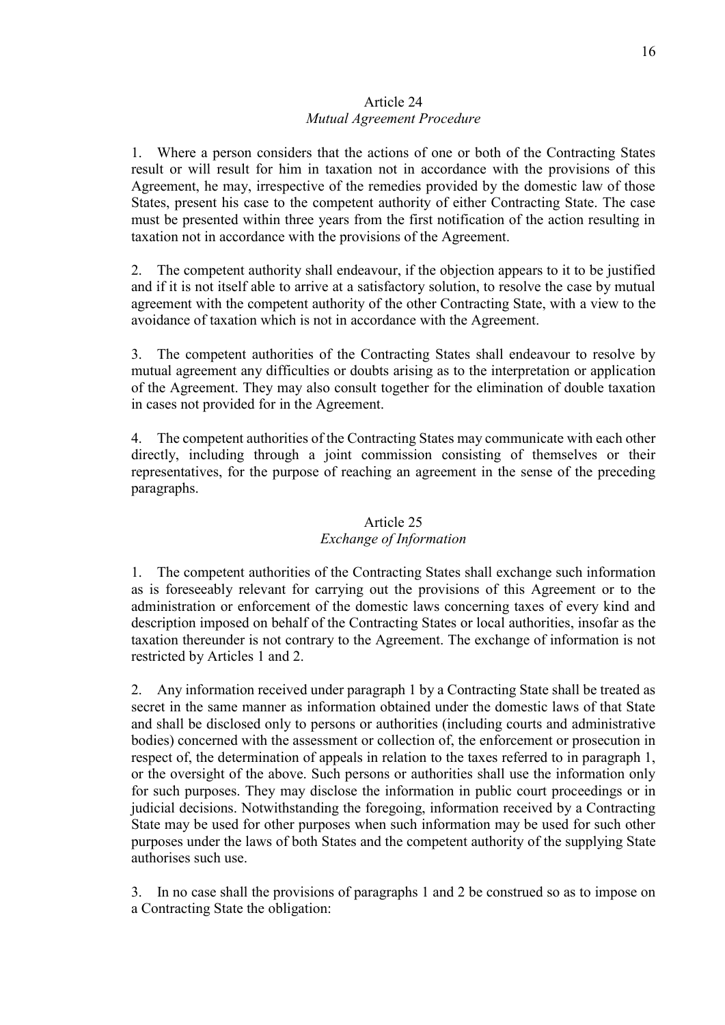## Article 24 *Mutual Agreement Procedure*

1. Where a person considers that the actions of one or both of the Contracting States result or will result for him in taxation not in accordance with the provisions of this Agreement, he may, irrespective of the remedies provided by the domestic law of those States, present his case to the competent authority of either Contracting State. The case must be presented within three years from the first notification of the action resulting in taxation not in accordance with the provisions of the Agreement.

2. The competent authority shall endeavour, if the objection appears to it to be justified and if it is not itself able to arrive at a satisfactory solution, to resolve the case by mutual agreement with the competent authority of the other Contracting State, with a view to the avoidance of taxation which is not in accordance with the Agreement.

3. The competent authorities of the Contracting States shall endeavour to resolve by mutual agreement any difficulties or doubts arising as to the interpretation or application of the Agreement. They may also consult together for the elimination of double taxation in cases not provided for in the Agreement.

4. The competent authorities of the Contracting States may communicate with each other directly, including through a joint commission consisting of themselves or their representatives, for the purpose of reaching an agreement in the sense of the preceding paragraphs.

# Article 25 *Exchange of Information*

1. The competent authorities of the Contracting States shall exchange such information as is foreseeably relevant for carrying out the provisions of this Agreement or to the administration or enforcement of the domestic laws concerning taxes of every kind and description imposed on behalf of the Contracting States or local authorities, insofar as the taxation thereunder is not contrary to the Agreement. The exchange of information is not restricted by Articles 1 and 2.

2. Any information received under paragraph 1 by a Contracting State shall be treated as secret in the same manner as information obtained under the domestic laws of that State and shall be disclosed only to persons or authorities (including courts and administrative bodies) concerned with the assessment or collection of, the enforcement or prosecution in respect of, the determination of appeals in relation to the taxes referred to in paragraph 1, or the oversight of the above. Such persons or authorities shall use the information only for such purposes. They may disclose the information in public court proceedings or in judicial decisions. Notwithstanding the foregoing, information received by a Contracting State may be used for other purposes when such information may be used for such other purposes under the laws of both States and the competent authority of the supplying State authorises such use.

3. In no case shall the provisions of paragraphs 1 and 2 be construed so as to impose on a Contracting State the obligation: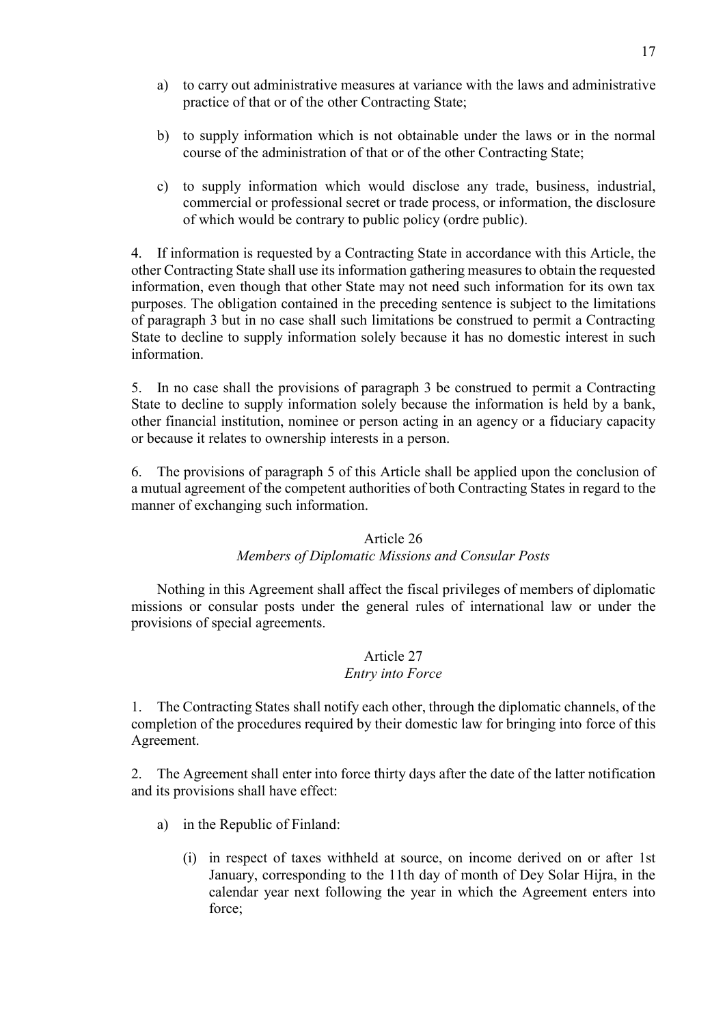- a) to carry out administrative measures at variance with the laws and administrative practice of that or of the other Contracting State;
- b) to supply information which is not obtainable under the laws or in the normal course of the administration of that or of the other Contracting State;
- c) to supply information which would disclose any trade, business, industrial, commercial or professional secret or trade process, or information, the disclosure of which would be contrary to public policy (ordre public).

4. If information is requested by a Contracting State in accordance with this Article, the other Contracting State shall use its information gathering measures to obtain the requested information, even though that other State may not need such information for its own tax purposes. The obligation contained in the preceding sentence is subject to the limitations of paragraph 3 but in no case shall such limitations be construed to permit a Contracting State to decline to supply information solely because it has no domestic interest in such information.

5. In no case shall the provisions of paragraph 3 be construed to permit a Contracting State to decline to supply information solely because the information is held by a bank, other financial institution, nominee or person acting in an agency or a fiduciary capacity or because it relates to ownership interests in a person.

6. The provisions of paragraph 5 of this Article shall be applied upon the conclusion of a mutual agreement of the competent authorities of both Contracting States in regard to the manner of exchanging such information.

### Article 26

### *Members of Diplomatic Missions and Consular Posts*

Nothing in this Agreement shall affect the fiscal privileges of members of diplomatic missions or consular posts under the general rules of international law or under the provisions of special agreements.

### Article 27 *Entry into Force*

1. The Contracting States shall notify each other, through the diplomatic channels, of the completion of the procedures required by their domestic law for bringing into force of this Agreement.

2. The Agreement shall enter into force thirty days after the date of the latter notification and its provisions shall have effect:

- a) in the Republic of Finland:
	- (i) in respect of taxes withheld at source, on income derived on or after 1st January, corresponding to the 11th day of month of Dey Solar Hijra, in the calendar year next following the year in which the Agreement enters into force;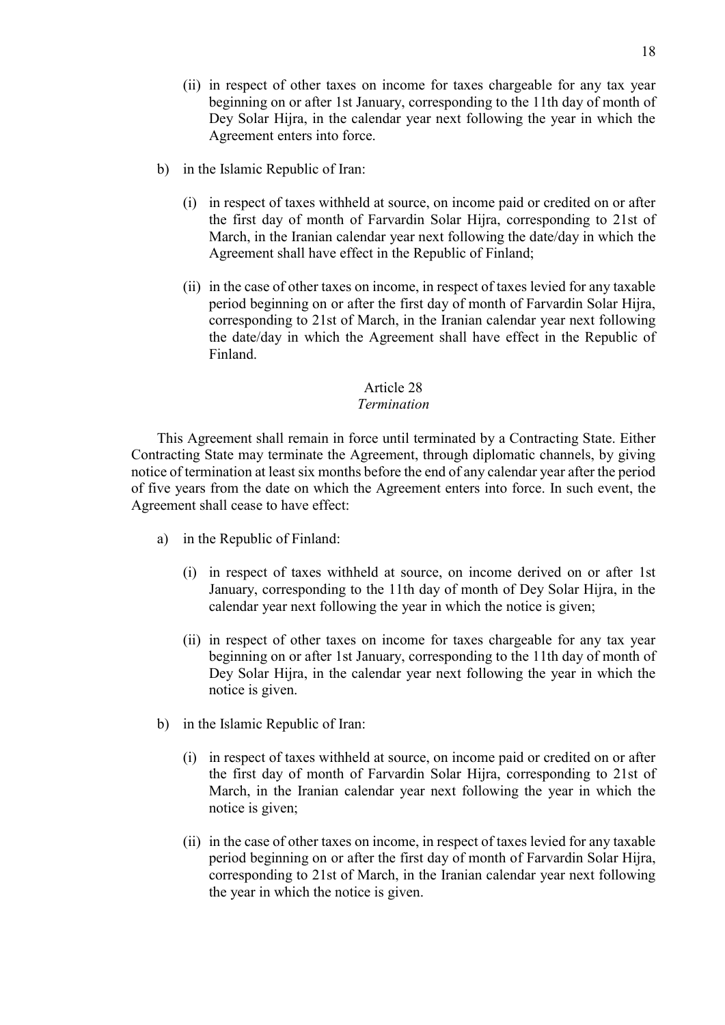- (ii) in respect of other taxes on income for taxes chargeable for any tax year beginning on or after 1st January, corresponding to the 11th day of month of Dey Solar Hijra, in the calendar year next following the year in which the Agreement enters into force.
- b) in the Islamic Republic of Iran:
	- (i) in respect of taxes withheld at source, on income paid or credited on or after the first day of month of Farvardin Solar Hijra, corresponding to 21st of March, in the Iranian calendar year next following the date/day in which the Agreement shall have effect in the Republic of Finland;
	- (ii) in the case of other taxes on income, in respect of taxes levied for any taxable period beginning on or after the first day of month of Farvardin Solar Hijra, corresponding to 21st of March, in the Iranian calendar year next following the date/day in which the Agreement shall have effect in the Republic of Finland.

### Article 28 *Termination*

This Agreement shall remain in force until terminated by a Contracting State. Either Contracting State may terminate the Agreement, through diplomatic channels, by giving notice of termination at least six months before the end of any calendar year after the period of five years from the date on which the Agreement enters into force. In such event, the Agreement shall cease to have effect:

- a) in the Republic of Finland:
	- (i) in respect of taxes withheld at source, on income derived on or after 1st January, corresponding to the 11th day of month of Dey Solar Hijra, in the calendar year next following the year in which the notice is given;
	- (ii) in respect of other taxes on income for taxes chargeable for any tax year beginning on or after 1st January, corresponding to the 11th day of month of Dey Solar Hijra, in the calendar year next following the year in which the notice is given.
- b) in the Islamic Republic of Iran:
	- (i) in respect of taxes withheld at source, on income paid or credited on or after the first day of month of Farvardin Solar Hijra, corresponding to 21st of March, in the Iranian calendar year next following the year in which the notice is given;
	- (ii) in the case of other taxes on income, in respect of taxes levied for any taxable period beginning on or after the first day of month of Farvardin Solar Hijra, corresponding to 21st of March, in the Iranian calendar year next following the year in which the notice is given.